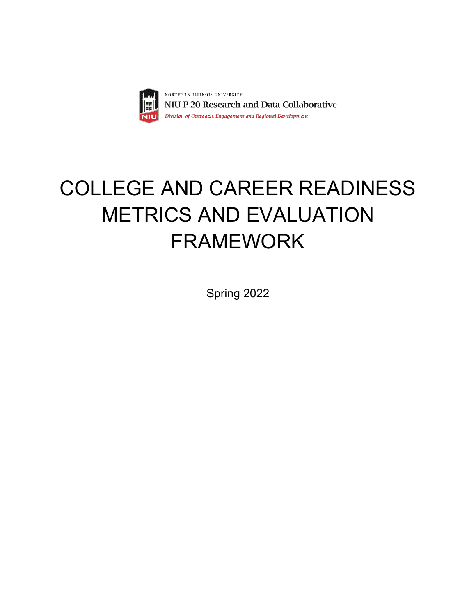

# COLLEGE AND CAREER READINESS METRICS AND EVALUATION FRAMEWORK

Spring 2022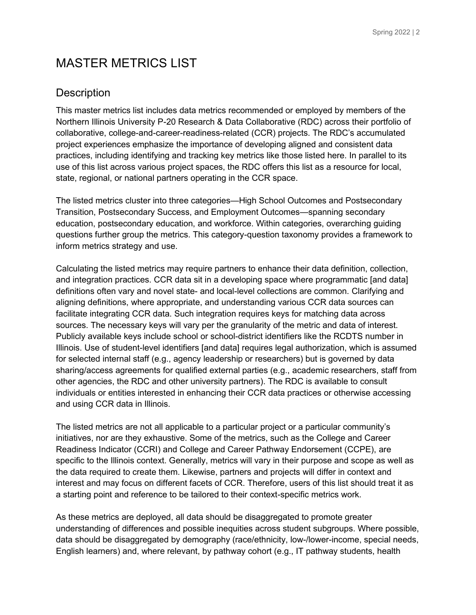# MASTER METRICS LIST

## **Description**

This master metrics list includes data metrics recommended or employed by members of the Northern Illinois University P-20 Research & Data Collaborative (RDC) across their portfolio of collaborative, college-and-career-readiness-related (CCR) projects. The RDC's accumulated project experiences emphasize the importance of developing aligned and consistent data practices, including identifying and tracking key metrics like those listed here. In parallel to its use of this list across various project spaces, the RDC offers this list as a resource for local, state, regional, or national partners operating in the CCR space.

The listed metrics cluster into three categories—High School Outcomes and Postsecondary Transition, Postsecondary Success, and Employment Outcomes—spanning secondary education, postsecondary education, and workforce. Within categories, overarching guiding questions further group the metrics. This category-question taxonomy provides a framework to inform metrics strategy and use.

Calculating the listed metrics may require partners to enhance their data definition, collection, and integration practices. CCR data sit in a developing space where programmatic [and data] definitions often vary and novel state- and local-level collections are common. Clarifying and aligning definitions, where appropriate, and understanding various CCR data sources can facilitate integrating CCR data. Such integration requires keys for matching data across sources. The necessary keys will vary per the granularity of the metric and data of interest. Publicly available keys include school or school-district identifiers like the RCDTS number in Illinois. Use of student-level identifiers [and data] requires legal authorization, which is assumed for selected internal staff (e.g., agency leadership or researchers) but is governed by data sharing/access agreements for qualified external parties (e.g., academic researchers, staff from other agencies, the RDC and other university partners). The RDC is available to consult individuals or entities interested in enhancing their CCR data practices or otherwise accessing and using CCR data in Illinois.

The listed metrics are not all applicable to a particular project or a particular community's initiatives, nor are they exhaustive. Some of the metrics, such as the College and Career Readiness Indicator (CCRI) and College and Career Pathway Endorsement (CCPE), are specific to the Illinois context. Generally, metrics will vary in their purpose and scope as well as the data required to create them. Likewise, partners and projects will differ in context and interest and may focus on different facets of CCR. Therefore, users of this list should treat it as a starting point and reference to be tailored to their context-specific metrics work.

As these metrics are deployed, all data should be disaggregated to promote greater understanding of differences and possible inequities across student subgroups. Where possible, data should be disaggregated by demography (race/ethnicity, low-/lower-income, special needs, English learners) and, where relevant, by pathway cohort (e.g., IT pathway students, health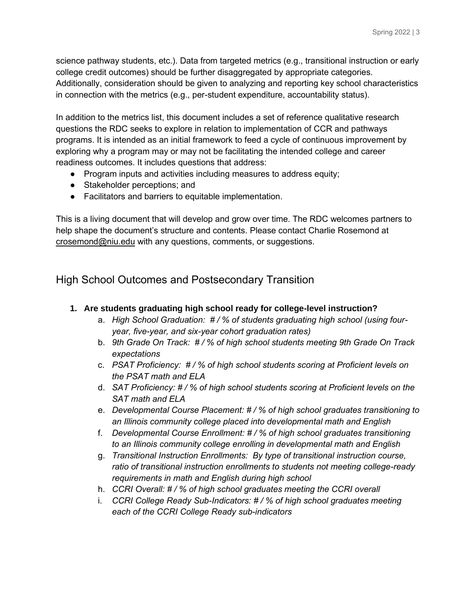science pathway students, etc.). Data from targeted metrics (e.g., transitional instruction or early college credit outcomes) should be further disaggregated by appropriate categories. Additionally, consideration should be given to analyzing and reporting key school characteristics in connection with the metrics (e.g., per-student expenditure, accountability status).

In addition to the metrics list, this document includes a set of reference qualitative research questions the RDC seeks to explore in relation to implementation of CCR and pathways programs. It is intended as an initial framework to feed a cycle of continuous improvement by exploring why a program may or may not be facilitating the intended college and career readiness outcomes. It includes questions that address:

- Program inputs and activities including measures to address equity;
- Stakeholder perceptions; and
- Facilitators and barriers to equitable implementation.

This is a living document that will develop and grow over time. The RDC welcomes partners to help shape the document's structure and contents. Please contact Charlie Rosemond at [crosemond@niu.edu](mailto:crosemond@niu.edu) with any questions, comments, or suggestions.

## High School Outcomes and Postsecondary Transition

- **1. Are students graduating high school ready for college-level instruction?**
	- a. *High School Graduation: # / % of students graduating high school (using fouryear, five-year, and six-year cohort graduation rates)*
	- b. *9th Grade On Track: # / % of high school students meeting 9th Grade On Track expectations*
	- c. *PSAT Proficiency: # / % of high school students scoring at Proficient levels on the PSAT math and ELA*
	- d. *SAT Proficiency: # / % of high school students scoring at Proficient levels on the SAT math and ELA*
	- e. *Developmental Course Placement: # / % of high school graduates transitioning to an Illinois community college placed into developmental math and English*
	- f. *Developmental Course Enrollment: # / % of high school graduates transitioning to an Illinois community college enrolling in developmental math and English*
	- g. *Transitional Instruction Enrollments: By type of transitional instruction course, ratio of transitional instruction enrollments to students not meeting college-ready requirements in math and English during high school*
	- h. *CCRI Overall: # / % of high school graduates meeting the CCRI overall*
	- i. *CCRI College Ready Sub-Indicators: # / % of high school graduates meeting each of the CCRI College Ready sub-indicators*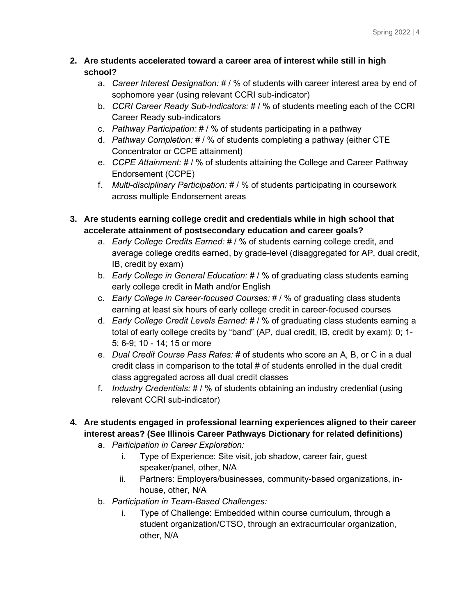#### **2. Are students accelerated toward a career area of interest while still in high school?**

- a. *Career Interest Designation:* # / % of students with career interest area by end of sophomore year (using relevant CCRI sub-indicator)
- b. *CCRI Career Ready Sub-Indicators:* # / % of students meeting each of the CCRI Career Ready sub-indicators
- c. *Pathway Participation:* # / % of students participating in a pathway
- d. *Pathway Completion:* # / % of students completing a pathway (either CTE Concentrator or CCPE attainment)
- e. *CCPE Attainment:* # / % of students attaining the College and Career Pathway Endorsement (CCPE)
- f. *Multi-disciplinary Participation:* # / % of students participating in coursework across multiple Endorsement areas
- **3. Are students earning college credit and credentials while in high school that accelerate attainment of postsecondary education and career goals?**
	- a. *Early College Credits Earned:* # / % of students earning college credit, and average college credits earned, by grade-level (disaggregated for AP, dual credit, IB, credit by exam)
	- b. *Early College in General Education:* # / % of graduating class students earning early college credit in Math and/or English
	- c. *Early College in Career-focused Courses:* # / % of graduating class students earning at least six hours of early college credit in career-focused courses
	- d. *Early College Credit Levels Earned:* # / % of graduating class students earning a total of early college credits by "band" (AP, dual credit, IB, credit by exam): 0; 1- 5; 6-9; 10 - 14; 15 or more
	- e. *Dual Credit Course Pass Rates:* # of students who score an A, B, or C in a dual credit class in comparison to the total # of students enrolled in the dual credit class aggregated across all dual credit classes
	- f. *Industry Credentials:* # / % of students obtaining an industry credential (using relevant CCRI sub-indicator)
- **4. Are students engaged in professional learning experiences aligned to their career interest areas? (See Illinois Career Pathways Dictionary for related definitions)**
	- a. *Participation in Career Exploration:*
		- i. Type of Experience: Site visit, job shadow, career fair, guest speaker/panel, other, N/A
		- ii. Partners: Employers/businesses, community-based organizations, inhouse, other, N/A
	- b. *Participation in Team-Based Challenges:* 
		- i. Type of Challenge: Embedded within course curriculum, through a student organization/CTSO, through an extracurricular organization, other, N/A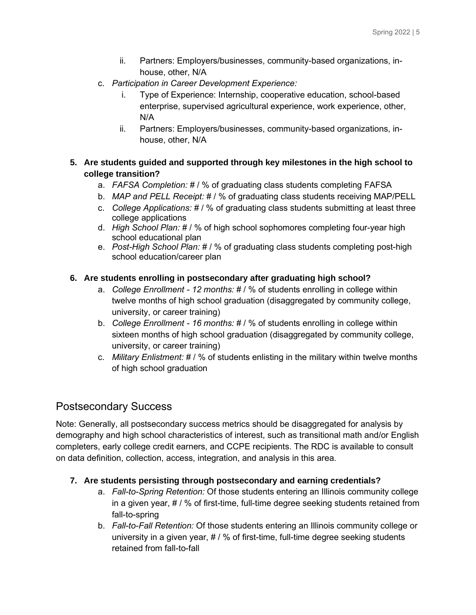- ii. Partners: Employers/businesses, community-based organizations, inhouse, other, N/A
- c. *Participation in Career Development Experience:*
	- i. Type of Experience: Internship, cooperative education, school-based enterprise, supervised agricultural experience, work experience, other, N/A
	- ii. Partners: Employers/businesses, community-based organizations, inhouse, other, N/A

## **5. Are students guided and supported through key milestones in the high school to college transition?**

- a. *FAFSA Completion:* # / % of graduating class students completing FAFSA
- b. *MAP and PELL Receipt:* # / % of graduating class students receiving MAP/PELL
- c. *College Applications:* # / % of graduating class students submitting at least three college applications
- d. *High School Plan:* # / % of high school sophomores completing four-year high school educational plan
- e. *Post-High School Plan:* # / % of graduating class students completing post-high school education/career plan

#### **6. Are students enrolling in postsecondary after graduating high school?**

- a. *College Enrollment - 12 months:* # / % of students enrolling in college within twelve months of high school graduation (disaggregated by community college, university, or career training)
- b. *College Enrollment - 16 months:* # / % of students enrolling in college within sixteen months of high school graduation (disaggregated by community college, university, or career training)
- c. *Military Enlistment:* # / % of students enlisting in the military within twelve months of high school graduation

## Postsecondary Success

Note: Generally, all postsecondary success metrics should be disaggregated for analysis by demography and high school characteristics of interest, such as transitional math and/or English completers, early college credit earners, and CCPE recipients. The RDC is available to consult on data definition, collection, access, integration, and analysis in this area.

#### **7. Are students persisting through postsecondary and earning credentials?**

- a. *Fall-to-Spring Retention:* Of those students entering an Illinois community college in a given year, # / % of first-time, full-time degree seeking students retained from fall-to-spring
- b. *Fall-to-Fall Retention:* Of those students entering an Illinois community college or university in a given year,  $\# / \%$  of first-time, full-time degree seeking students retained from fall-to-fall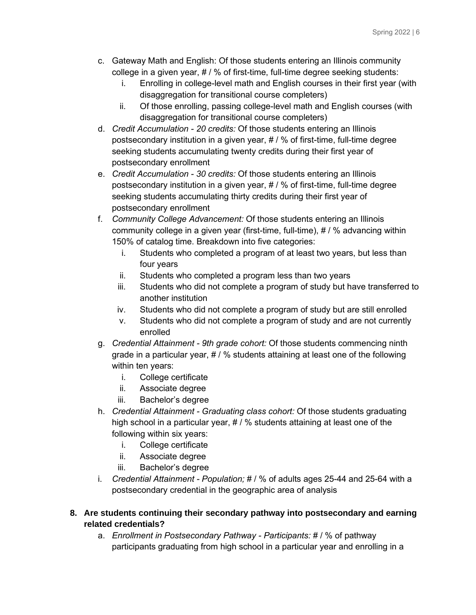- c. Gateway Math and English: Of those students entering an Illinois community college in a given year, # / % of first-time, full-time degree seeking students:
	- i. Enrolling in college-level math and English courses in their first year (with disaggregation for transitional course completers)
	- ii. Of those enrolling, passing college-level math and English courses (with disaggregation for transitional course completers)
- d. *Credit Accumulation - 20 credits:* Of those students entering an Illinois postsecondary institution in a given year, # / % of first-time, full-time degree seeking students accumulating twenty credits during their first year of postsecondary enrollment
- e. *Credit Accumulation - 30 credits:* Of those students entering an Illinois postsecondary institution in a given year, # / % of first-time, full-time degree seeking students accumulating thirty credits during their first year of postsecondary enrollment
- f. *Community College Advancement:* Of those students entering an Illinois community college in a given year (first-time, full-time), # / % advancing within 150% of catalog time. Breakdown into five categories:
	- i. Students who completed a program of at least two years, but less than four years
	- ii. Students who completed a program less than two years
	- iii. Students who did not complete a program of study but have transferred to another institution
	- iv. Students who did not complete a program of study but are still enrolled
	- v. Students who did not complete a program of study and are not currently enrolled
- g. *Credential Attainment - 9th grade cohort:* Of those students commencing ninth grade in a particular year, # / % students attaining at least one of the following within ten years:
	- i. College certificate
	- ii. Associate degree
	- iii. Bachelor's degree
- h. *Credential Attainment - Graduating class cohort:* Of those students graduating high school in a particular year, # / % students attaining at least one of the following within six years:
	- i. College certificate
	- ii. Associate degree
	- iii. Bachelor's degree
- i. *Credential Attainment - Population;* # / % of adults ages 25-44 and 25-64 with a postsecondary credential in the geographic area of analysis
- **8. Are students continuing their secondary pathway into postsecondary and earning related credentials?**
	- a. *Enrollment in Postsecondary Pathway - Participants:* # / % of pathway participants graduating from high school in a particular year and enrolling in a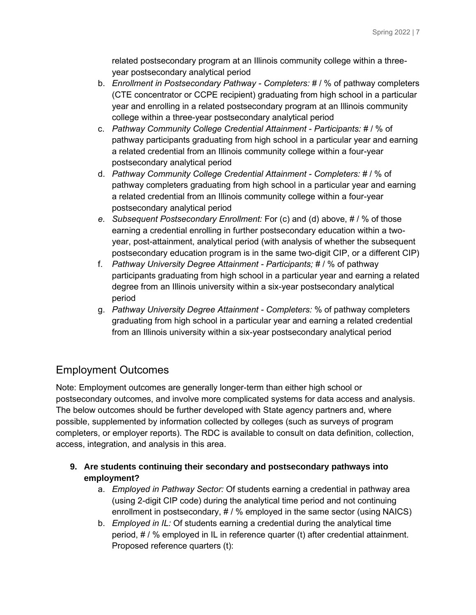related postsecondary program at an Illinois community college within a threeyear postsecondary analytical period

- b. *Enrollment in Postsecondary Pathway - Completers:* # / % of pathway completers (CTE concentrator or CCPE recipient) graduating from high school in a particular year and enrolling in a related postsecondary program at an Illinois community college within a three-year postsecondary analytical period
- c. *Pathway Community College Credential Attainment - Participants:* # / % of pathway participants graduating from high school in a particular year and earning a related credential from an Illinois community college within a four-year postsecondary analytical period
- d. *Pathway Community College Credential Attainment - Completers:* # / % of pathway completers graduating from high school in a particular year and earning a related credential from an Illinois community college within a four-year postsecondary analytical period
- *e. Subsequent Postsecondary Enrollment:* For (c) and (d) above, # / % of those earning a credential enrolling in further postsecondary education within a twoyear, post-attainment, analytical period (with analysis of whether the subsequent postsecondary education program is in the same two-digit CIP, or a different CIP)
- f. *Pathway University Degree Attainment - Participants;* # / % of pathway participants graduating from high school in a particular year and earning a related degree from an Illinois university within a six-year postsecondary analytical period
- g. *Pathway University Degree Attainment - Completers:* % of pathway completers graduating from high school in a particular year and earning a related credential from an Illinois university within a six-year postsecondary analytical period

## Employment Outcomes

Note: Employment outcomes are generally longer-term than either high school or postsecondary outcomes, and involve more complicated systems for data access and analysis. The below outcomes should be further developed with State agency partners and, where possible, supplemented by information collected by colleges (such as surveys of program completers, or employer reports). The RDC is available to consult on data definition, collection, access, integration, and analysis in this area.

- **9. Are students continuing their secondary and postsecondary pathways into employment?**
	- a. *Employed in Pathway Sector:* Of students earning a credential in pathway area (using 2-digit CIP code) during the analytical time period and not continuing enrollment in postsecondary, # / % employed in the same sector (using NAICS)
	- b. *Employed in IL:* Of students earning a credential during the analytical time period, # / % employed in IL in reference quarter (t) after credential attainment. Proposed reference quarters (t):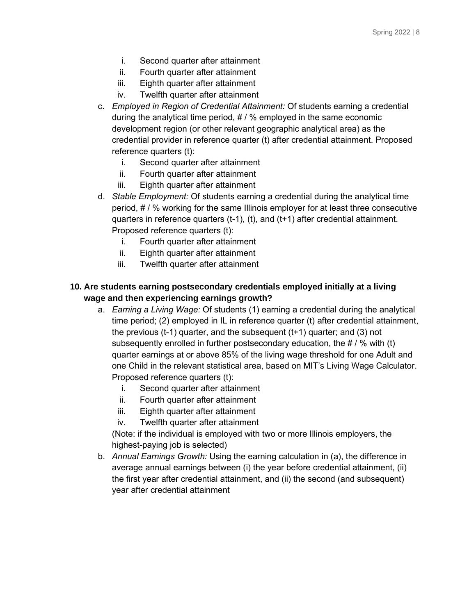- i. Second quarter after attainment
- ii. Fourth quarter after attainment
- iii. Eighth quarter after attainment
- iv. Twelfth quarter after attainment
- c. *Employed in Region of Credential Attainment:* Of students earning a credential during the analytical time period, # / % employed in the same economic development region (or other relevant geographic analytical area) as the credential provider in reference quarter (t) after credential attainment. Proposed reference quarters (t):
	- i. Second quarter after attainment
	- ii. Fourth quarter after attainment
	- iii. Eighth quarter after attainment
- d. *Stable Employment:* Of students earning a credential during the analytical time period, # / % working for the same Illinois employer for at least three consecutive quarters in reference quarters (t-1), (t), and (t+1) after credential attainment. Proposed reference quarters (t):
	- i. Fourth quarter after attainment
	- ii. Eighth quarter after attainment
	- iii. Twelfth quarter after attainment

#### **10. Are students earning postsecondary credentials employed initially at a living wage and then experiencing earnings growth?**

- a. *Earning a Living Wage:* Of students (1) earning a credential during the analytical time period; (2) employed in IL in reference quarter (t) after credential attainment, the previous (t-1) quarter, and the subsequent (t+1) quarter; and (3) not subsequently enrolled in further postsecondary education, the # / % with (t) quarter earnings at or above 85% of the living wage threshold for one Adult and one Child in the relevant statistical area, based on MIT's Living Wage Calculator. Proposed reference quarters (t):
	- i. Second quarter after attainment
	- ii. Fourth quarter after attainment
	- iii. Eighth quarter after attainment
	- iv. Twelfth quarter after attainment

(Note: if the individual is employed with two or more Illinois employers, the highest-paying job is selected)

b. *Annual Earnings Growth:* Using the earning calculation in (a), the difference in average annual earnings between (i) the year before credential attainment, (ii) the first year after credential attainment, and (ii) the second (and subsequent) year after credential attainment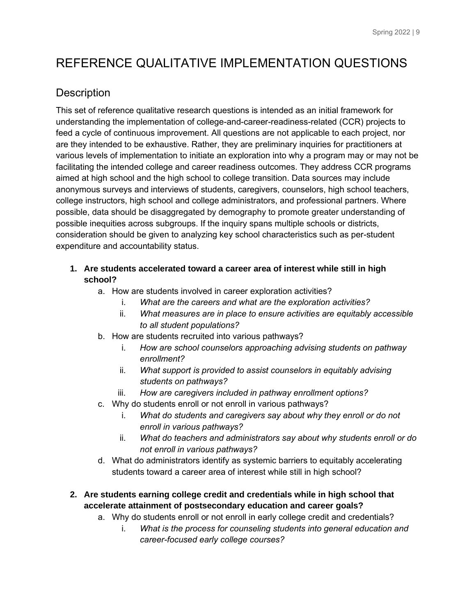# REFERENCE QUALITATIVE IMPLEMENTATION QUESTIONS

## **Description**

This set of reference qualitative research questions is intended as an initial framework for understanding the implementation of college-and-career-readiness-related (CCR) projects to feed a cycle of continuous improvement. All questions are not applicable to each project, nor are they intended to be exhaustive. Rather, they are preliminary inquiries for practitioners at various levels of implementation to initiate an exploration into why a program may or may not be facilitating the intended college and career readiness outcomes. They address CCR programs aimed at high school and the high school to college transition. Data sources may include anonymous surveys and interviews of students, caregivers, counselors, high school teachers, college instructors, high school and college administrators, and professional partners. Where possible, data should be disaggregated by demography to promote greater understanding of possible inequities across subgroups. If the inquiry spans multiple schools or districts, consideration should be given to analyzing key school characteristics such as per-student expenditure and accountability status.

## **1. Are students accelerated toward a career area of interest while still in high school?**

- a. How are students involved in career exploration activities?
	- i. *What are the careers and what are the exploration activities?*
	- ii. *What measures are in place to ensure activities are equitably accessible to all student populations?*
- b. How are students recruited into various pathways?
	- i. *How are school counselors approaching advising students on pathway enrollment?*
	- ii. *What support is provided to assist counselors in equitably advising students on pathways?*
	- iii. *How are caregivers included in pathway enrollment options?*
- c. Why do students enroll or not enroll in various pathways?
	- i. *What do students and caregivers say about why they enroll or do not enroll in various pathways?*
	- ii. *What do teachers and administrators say about why students enroll or do not enroll in various pathways?*
- d. What do administrators identify as systemic barriers to equitably accelerating students toward a career area of interest while still in high school?

## **2. Are students earning college credit and credentials while in high school that accelerate attainment of postsecondary education and career goals?**

- a. Why do students enroll or not enroll in early college credit and credentials?
	- i. *What is the process for counseling students into general education and career-focused early college courses?*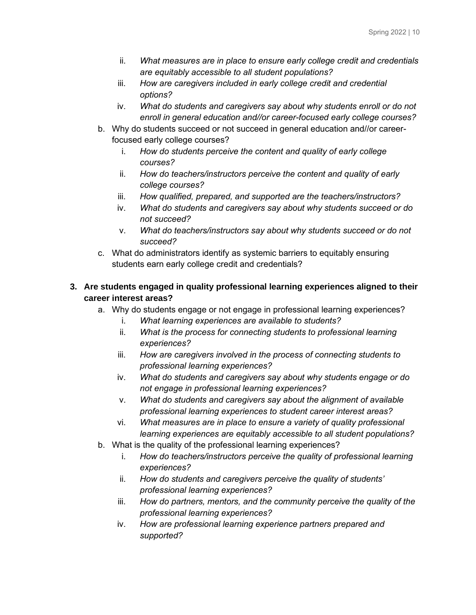- ii. *What measures are in place to ensure early college credit and credentials are equitably accessible to all student populations?*
- iii. *How are caregivers included in early college credit and credential options?*
- iv. *What do students and caregivers say about why students enroll or do not enroll in general education and//or career-focused early college courses?*
- b. Why do students succeed or not succeed in general education and//or careerfocused early college courses?
	- i. *How do students perceive the content and quality of early college courses?*
	- ii. *How do teachers/instructors perceive the content and quality of early college courses?*
	- iii. *How qualified, prepared, and supported are the teachers/instructors?*
	- iv. *What do students and caregivers say about why students succeed or do not succeed?*
	- v. *What do teachers/instructors say about why students succeed or do not succeed?*
- c. What do administrators identify as systemic barriers to equitably ensuring students earn early college credit and credentials?

#### **3. Are students engaged in quality professional learning experiences aligned to their career interest areas?**

- a. Why do students engage or not engage in professional learning experiences?
	- i. *What learning experiences are available to students?*
	- ii. *What is the process for connecting students to professional learning experiences?*
	- iii. *How are caregivers involved in the process of connecting students to professional learning experiences?*
	- iv. *What do students and caregivers say about why students engage or do not engage in professional learning experiences?*
	- v. *What do students and caregivers say about the alignment of available professional learning experiences to student career interest areas?*
	- vi. *What measures are in place to ensure a variety of quality professional learning experiences are equitably accessible to all student populations?*
- b. What is the quality of the professional learning experiences?
	- i. *How do teachers/instructors perceive the quality of professional learning experiences?*
	- ii. *How do students and caregivers perceive the quality of students' professional learning experiences?*
	- iii. *How do partners, mentors, and the community perceive the quality of the professional learning experiences?*
	- iv. *How are professional learning experience partners prepared and supported?*